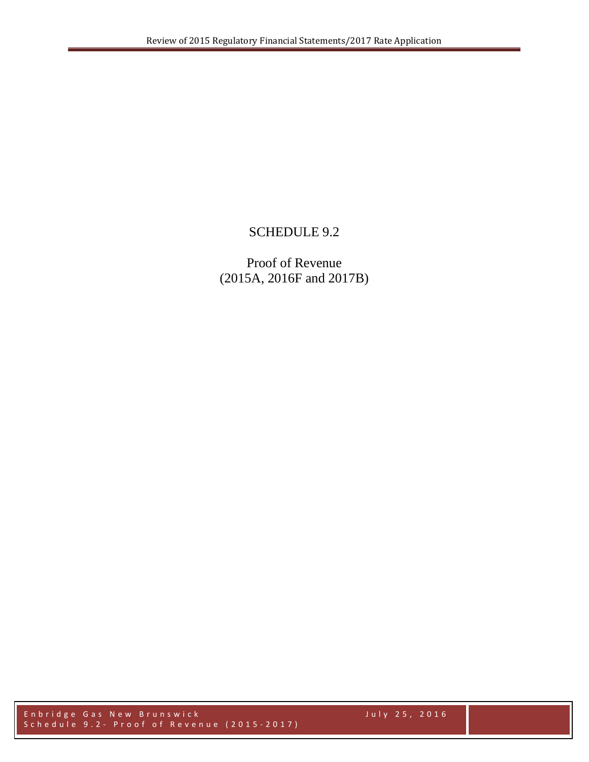## SCHEDULE 9.2

Proof of Revenue (2015A, 2016F and 2017B)

Enbridge Gas New Brunswick July 25, 2016 Schedule 9 . 2 - Proof of Revenue (201 5 - 201 7 )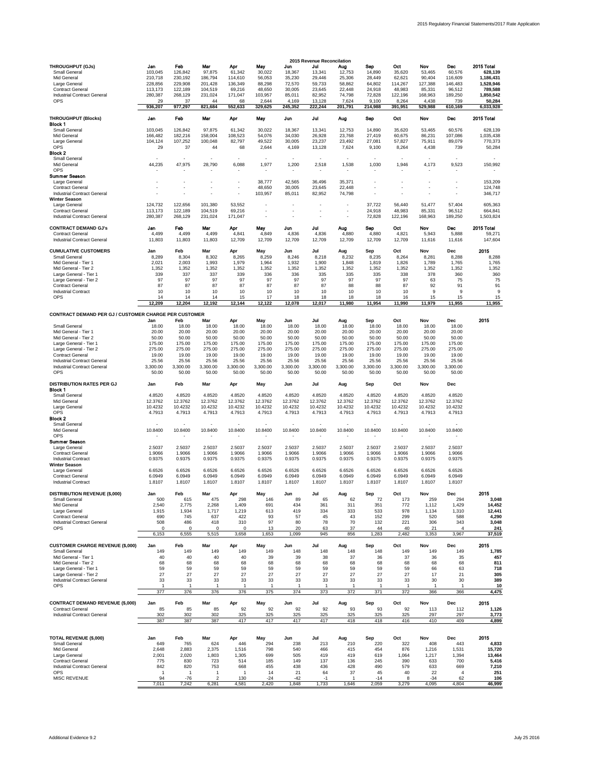|                                                                                                                                                                                                                                                                                                               |                                                                                           |                                                                                           |                                                                                           |                                                                                           |                                                                                           |                                                                                           | 2015 Revenue Reconcilation                                                                |                                                                                           |                                                                                           |                                                                                           |                                                                                                  |                                                                                                  |                                                                                   |
|---------------------------------------------------------------------------------------------------------------------------------------------------------------------------------------------------------------------------------------------------------------------------------------------------------------|-------------------------------------------------------------------------------------------|-------------------------------------------------------------------------------------------|-------------------------------------------------------------------------------------------|-------------------------------------------------------------------------------------------|-------------------------------------------------------------------------------------------|-------------------------------------------------------------------------------------------|-------------------------------------------------------------------------------------------|-------------------------------------------------------------------------------------------|-------------------------------------------------------------------------------------------|-------------------------------------------------------------------------------------------|--------------------------------------------------------------------------------------------------|--------------------------------------------------------------------------------------------------|-----------------------------------------------------------------------------------|
| <b>THROUGHPUT (GJs)</b><br><b>Small General</b><br>Mid General<br>Large General<br><b>Contract General</b><br><b>Industrial Contract General</b><br><b>OPS</b>                                                                                                                                                | Jan<br>103,045<br>210,718<br>228,856<br>113,173<br>280,387<br>29                          | Feb<br>126,842<br>230,192<br>229,908<br>122,189<br>268,129<br>37                          | Mar<br>97,875<br>186,794<br>201,428<br>104,519<br>231,024<br>44                           | Apr<br>61,342<br>114,610<br>136,349<br>69,216<br>171,047<br>68                            | May<br>30,022<br>56,053<br>88,298<br>48,650<br>103,957<br>2,644                           | Jun<br>18,367<br>35,230<br>72,570<br>30,005<br>85,011<br>4,169                            | Jul<br>13,341<br>29,446<br>59,733<br>23,645<br>82,952<br>13,128                           | Aug<br>12,753<br>25,306<br>58,862<br>22,448<br>74,798<br>7,624                            | Sep<br>14,890<br>28,449<br>64,802<br>24,918<br>72,828<br>9,100                            | Oct<br>35,620<br>62,621<br>114,267<br>48,983<br>122,196<br>8,264                          | <b>Nov</b><br>53,465<br>90,404<br>127,388<br>85,331<br>168,963<br>4,438                          | <b>Dec</b><br>60,576<br>116,609<br>146,483<br>96,512<br>189,250<br>739                           | 2015 Total<br>628,139<br>1,186,431<br>1,528,946<br>789,588<br>1,850,542<br>50,284 |
|                                                                                                                                                                                                                                                                                                               | 936,207                                                                                   | 977,297                                                                                   | 821,684                                                                                   | 552,633                                                                                   | 329,625                                                                                   | 245,352                                                                                   | 222,244                                                                                   | 201,791                                                                                   | 214,988                                                                                   | 391,951                                                                                   | 529,988                                                                                          | 610,169                                                                                          | 6,033,928                                                                         |
| <b>THROUGHPUT (Blocks)</b><br><b>Block 1</b>                                                                                                                                                                                                                                                                  | Jan                                                                                       | Feb                                                                                       | Mar                                                                                       | Apr                                                                                       | May                                                                                       | Jun                                                                                       | Jul                                                                                       | Aug                                                                                       | Sep                                                                                       | Oct                                                                                       | <b>Nov</b>                                                                                       | Dec                                                                                              | 2015 Total                                                                        |
| <b>Small General</b><br><b>Mid General</b><br>Large General<br><b>OPS</b>                                                                                                                                                                                                                                     | 103,045<br>166,482<br>104,124<br>29                                                       | 126,842<br>182,216<br>107,252<br>37                                                       | 97,875<br>158,004<br>100,048<br>44                                                        | 61,342<br>108,523<br>82,797<br>68                                                         | 30,022<br>54,076<br>49,522<br>2,644                                                       | 18,367<br>34,030<br>30,005<br>4,169                                                       | 13,341<br>26,928<br>23,237<br>13,128                                                      | 12,753<br>23,768<br>23,492<br>7,624                                                       | 14,890<br>27,419<br>27,081<br>9,100                                                       | 35,620<br>60,675<br>57,827<br>8,264                                                       | 53,465<br>86,231<br>75,911<br>4,438                                                              | 60,576<br>107,086<br>89,079<br>739                                                               | 628,139<br>1,035,438<br>770,373<br>50,284                                         |
| <b>Block 2</b><br><b>Small General</b><br>Mid General<br><b>OPS</b>                                                                                                                                                                                                                                           | 44,235                                                                                    | $\overline{\phantom{a}}$<br>47,975<br>$\blacksquare$                                      | 28,790                                                                                    | $\sim$<br>6,088<br>$\sim$                                                                 | 1,977                                                                                     | $\blacksquare$<br>1,200<br>$\overline{\phantom{a}}$                                       | $\sim$<br>2,518<br>$\sim$                                                                 | $\blacksquare$<br>1,538<br>$\sim$                                                         | $\blacksquare$<br>1,030                                                                   | $\blacksquare$<br>1,946<br>$\blacksquare$                                                 | $\blacksquare$<br>4,173<br>$\overline{\phantom{a}}$                                              | $\blacksquare$<br>9,523<br>$\overline{\phantom{a}}$                                              | 150,992<br>$\sim$                                                                 |
| <b>Summer Season</b><br>Large General<br><b>Contract General</b><br><b>Industrial Contract General</b>                                                                                                                                                                                                        |                                                                                           |                                                                                           |                                                                                           |                                                                                           | 38,777<br>48,650<br>103,957                                                               | 42,565<br>30,005<br>85,011                                                                | 36,496<br>23,645<br>82,952                                                                | 35,371<br>22,448<br>74,798                                                                |                                                                                           |                                                                                           |                                                                                                  |                                                                                                  | 153,209<br>124,748<br>346,717                                                     |
| <b>Winter Season</b><br>Large General<br><b>Contract General</b><br><b>Industrial Contract General</b>                                                                                                                                                                                                        | 124,732<br>113,173<br>280,387                                                             | 122,656<br>122,189<br>268,129                                                             | 101,380<br>104,519<br>231,024                                                             | 53,552<br>69,216<br>171,047                                                               |                                                                                           |                                                                                           |                                                                                           | $\overline{\phantom{a}}$<br>$\blacksquare$<br>$\overline{\phantom{a}}$                    | 37,722<br>24,918<br>72,828                                                                | 56,440<br>48,983<br>122,196                                                               | 51,477<br>85,331<br>168,963                                                                      | 57,404<br>96,512<br>189,250                                                                      | 605,363<br>664,841<br>1,503,824                                                   |
| <b>CONTRACT DEMAND GJ's</b><br><b>Contract General</b><br><b>Industrial Contract General</b>                                                                                                                                                                                                                  | Jan<br>4,499<br>11,803                                                                    | Feb<br>4,499<br>11,803                                                                    | Mar<br>4,499<br>11,803                                                                    | Apr<br>4,841<br>12,709                                                                    | May<br>4,849<br>12,709                                                                    | Jun<br>4,836<br>12,709                                                                    | Jul<br>4,836<br>12,709                                                                    | Aug<br>4,880<br>12,709                                                                    | Sep<br>4,880<br>12,709                                                                    | Oct<br>4,821<br>12,709                                                                    | <b>Nov</b><br>5,943<br>11,616                                                                    | <b>Dec</b><br>5,888<br>11,616                                                                    | 2015 Total<br>59,271<br>147,604                                                   |
| <b>CUMULATIVE CUSTOMERS</b><br><b>Small General</b><br>Mid General - Tier 1<br>Mid General - Tier 2<br>Large General - Tier 1<br>Large General - Tier 2<br><b>Contract General</b><br><b>Industrial Contract</b><br><b>OPS</b>                                                                                | Jan<br>8,289<br>2,021<br>1,352<br>339<br>97<br>87<br>10<br>14                             | Feb<br>8,304<br>2,003<br>1,352<br>337<br>97<br>87<br>10<br>14                             | Mar<br>8,302<br>1,993<br>1,352<br>337<br>97<br>87<br>10<br>14                             | Apr<br>8,265<br>1,979<br>1,352<br>339<br>97<br>87<br>10<br>15                             | May<br>8,259<br>1,964<br>1,352<br>336<br>97<br>87<br>10<br>17                             | Jun<br>8,246<br>1,932<br>1,352<br>336<br>97<br>87<br>10<br>18                             | Jul<br>8,218<br>1,900<br>1,352<br>335<br>97<br>87<br>10<br>18                             | Aug<br>8,232<br>1,848<br>1,352<br>335<br>97<br>88<br>10<br>18                             | Sep<br>8,235<br>1,819<br>1,352<br>335<br>97<br>88<br>10<br>18                             | Oct<br>8,264<br>1,826<br>1,352<br>338<br>97<br>87<br>10<br>16                             | <b>Nov</b><br>8,281<br>1,789<br>1,352<br>378<br>63<br>92<br>9<br>15                              | <b>Dec</b><br>8,288<br>1,765<br>1,352<br>360<br>75<br>91<br>15                                   | 2015<br>8,288<br>1,765<br>1,352<br>360<br>75<br>91<br>9<br>15                     |
|                                                                                                                                                                                                                                                                                                               | 12,209                                                                                    | 12,204                                                                                    | 12,192                                                                                    | 12,144                                                                                    | 12,122                                                                                    | 12,078                                                                                    | 12,017                                                                                    | 11,980                                                                                    | 11,954                                                                                    | 11,990                                                                                    | 11,979                                                                                           | 11,955                                                                                           | 11,955                                                                            |
| <b>CONTRACT DEMAND PER GJ / CUSTOMER CHARGE PER CUSTOMER</b><br><b>Small General</b><br>Mid General - Tier 1<br>Mid General - Tier 2<br>Large General - Tier 1<br>Large General - Tier 2<br><b>Contract General</b><br><b>Industrial Contract General</b><br><b>Industrial Contract General</b><br><b>OPS</b> | Jan<br>18.00<br>20.00<br>50.00<br>175.00<br>275.00<br>19.00<br>25.56<br>3,300.00<br>50.00 | Feb<br>18.00<br>20.00<br>50.00<br>175.00<br>275.00<br>19.00<br>25.56<br>3,300.00<br>50.00 | Mar<br>18.00<br>20.00<br>50.00<br>175.00<br>275.00<br>19.00<br>25.56<br>3,300.00<br>50.00 | Apr<br>18.00<br>20.00<br>50.00<br>175.00<br>275.00<br>19.00<br>25.56<br>3,300.00<br>50.00 | May<br>18.00<br>20.00<br>50.00<br>175.00<br>275.00<br>19.00<br>25.56<br>3,300.00<br>50.00 | Jun<br>18.00<br>20.00<br>50.00<br>175.00<br>275.00<br>19.00<br>25.56<br>3,300.00<br>50.00 | Jul<br>18.00<br>20.00<br>50.00<br>175.00<br>275.00<br>19.00<br>25.56<br>3,300.00<br>50.00 | Aug<br>18.00<br>20.00<br>50.00<br>175.00<br>275.00<br>19.00<br>25.56<br>3,300.00<br>50.00 | Sep<br>18.00<br>20.00<br>50.00<br>175.00<br>275.00<br>19.00<br>25.56<br>3,300.00<br>50.00 | Oct<br>18.00<br>20.00<br>50.00<br>175.00<br>275.00<br>19.00<br>25.56<br>3,300.00<br>50.00 | <b>Nov</b><br>18.00<br>20.00<br>50.00<br>175.00<br>275.00<br>19.00<br>25.56<br>3,300.00<br>50.00 | <b>Dec</b><br>18.00<br>20.00<br>50.00<br>175.00<br>275.00<br>19.00<br>25.56<br>3,300.00<br>50.00 | 2015                                                                              |
| <b>DISTRIBUTION RATES PER GJ</b>                                                                                                                                                                                                                                                                              | Jan                                                                                       | Feb                                                                                       | <b>Mar</b>                                                                                | Apr                                                                                       | <b>May</b>                                                                                | Jun                                                                                       | Jul                                                                                       | Aug                                                                                       | <b>Sep</b>                                                                                | Oct                                                                                       | <b>Nov</b>                                                                                       | <b>Dec</b>                                                                                       |                                                                                   |
| <b>Block 1</b><br><b>Small General</b><br>Mid General<br>Large General<br><b>OPS</b><br><b>Block 2</b><br><b>Small General</b>                                                                                                                                                                                | 4.8520<br>12.3762<br>10.4232<br>4.7913                                                    | 4.8520<br>12.3762<br>10.4232<br>4.7913                                                    | 4.8520<br>12.3762<br>10.4232<br>4.7913                                                    | 4.8520<br>12.3762<br>10.4232<br>4.7913                                                    | 4.8520<br>12.3762<br>10.4232<br>4.7913                                                    | 4.8520<br>12.3762<br>10.4232<br>4.7913                                                    | 4.8520<br>12.3762<br>10.4232<br>4.7913                                                    | 4.8520<br>12.3762<br>10.4232<br>4.7913                                                    | 4.8520<br>12.3762<br>10.4232<br>4.7913                                                    | 4.8520<br>12.3762<br>10.4232<br>4.7913                                                    | 4.8520<br>12.3762<br>10.4232<br>4.7913                                                           | 4.8520<br>12.3762<br>10.4232<br>4.7913<br>$\overline{\phantom{a}}$                               |                                                                                   |
| Mid General<br><b>OPS</b>                                                                                                                                                                                                                                                                                     | 10.8400                                                                                   | 10.8400                                                                                   | 10.8400                                                                                   | 10.8400                                                                                   | 10.8400                                                                                   | 10.8400                                                                                   | 10.8400                                                                                   | 10.8400                                                                                   | 10.8400                                                                                   | 10.8400                                                                                   | 10.8400                                                                                          | 10.8400                                                                                          |                                                                                   |
| <b>Summer Season</b><br>Large General<br><b>Contract General</b><br><b>Industrial Contract</b><br><b>Winter Season</b><br>Large General<br><b>Contract General</b><br><b>Industrial Contract</b>                                                                                                              | 2.5037<br>1.9066<br>0.9375<br>6.6526<br>6.0949<br>1.8107                                  | 2.5037<br>1.9066<br>0.9375<br>6.6526<br>6.0949<br>1.8107                                  | 2.5037<br>1.9066<br>0.9375<br>6.6526<br>6.0949<br>1.8107                                  | 2.5037<br>1.9066<br>0.9375<br>6.6526<br>6.0949<br>1.8107                                  | 2.5037<br>1.9066<br>0.9375<br>6.6526<br>6.0949<br>1.8107                                  | 2.5037<br>1.9066<br>0.9375<br>6.6526<br>6.0949<br>1.8107                                  | 2.5037<br>1.9066<br>0.9375<br>6.6526<br>6.0949<br>1.8107                                  | 2.5037<br>1.9066<br>0.9375<br>6.6526<br>6.0949<br>1.8107                                  | 2.5037<br>1.9066<br>0.9375<br>6.6526<br>6.0949<br>1.8107                                  | 2.5037<br>1.9066<br>0.9375<br>6.6526<br>6.0949<br>1.8107                                  | 2.5037<br>1.9066<br>0.9375<br>6.6526<br>6.0949<br>1.8107                                         | 2.5037<br>1.9066<br>0.9375<br>6.6526<br>6.0949<br>1.8107                                         |                                                                                   |
| <b>DISTRIBUTION REVENUE (\$,000)</b><br><b>Small General</b><br>Mid General<br>Large General<br><b>Contract General</b>                                                                                                                                                                                       | Jan<br>500<br>2,540<br>1,915<br>690                                                       | Feb<br>615<br>2,775<br>1,934<br>745                                                       | <b>Mar</b><br>475<br>2,268<br>1,717<br>637                                                | Apr<br>298<br>1,409<br>1,219<br>422                                                       | <b>May</b><br>146<br>691<br>613<br>93                                                     | Jun<br>89<br>434<br>419<br>57                                                             | Jul<br>65<br>361<br>334<br>45                                                             | Aug<br>62<br>311<br>333<br>43                                                             | <b>Sep</b><br>72<br>351<br>533<br>152                                                     | Oct<br>173<br>772<br>978<br>299                                                           | <b>Nov</b><br>259<br>1,112<br>1,134<br>520                                                       | <b>Dec</b><br>294<br>1,429<br>1,310<br>588                                                       | 2015<br>3,048<br>14,452<br>12,441<br>4,290                                        |
| <b>Industrial Contract General</b><br><b>OPS</b>                                                                                                                                                                                                                                                              | 508<br>$\Omega$                                                                           | 486<br>0                                                                                  | 418<br>0                                                                                  | 310<br>0                                                                                  | 97<br>13                                                                                  | 80<br>20                                                                                  | 78<br>63                                                                                  | 70<br>37                                                                                  | 132<br>44                                                                                 | 221<br>40                                                                                 | 306<br>21                                                                                        | 343<br>4                                                                                         | 3,048<br>241                                                                      |
| <b>CUSTOMER CHARGE REVENUE (\$,000)</b><br><b>Small General</b><br>Mid General - Tier 1<br>Mid General - Tier 2<br>Large General - Tier 1<br>Large General - Tier 2                                                                                                                                           | 6,153<br>Jan<br>149<br>40<br>68<br>59<br>27                                               | 6,555<br>Feb<br>149<br>40<br>68<br>59<br>27                                               | 5,515<br>Mar<br>149<br>40<br>68<br>59<br>27                                               | 3,658<br>Apr<br>149<br>40<br>68<br>59<br>27                                               | 1,653<br>May<br>149<br>39<br>68<br>59<br>27                                               | 1,099<br>Jun<br>148<br>39<br>68<br>59<br>27                                               | 945<br>Jul<br>148<br>38<br>68<br>59<br>27                                                 | 856<br>Aug<br>148<br>37<br>68<br>59<br>27                                                 | 1,283<br>Sep<br>148<br>36<br>68<br>59<br>27                                               | 2,482<br>Oct<br>149<br>37<br>68<br>59<br>27                                               | 3,353<br><b>Nov</b><br>149<br>36<br>68<br>66<br>17                                               | 3,967<br><b>Dec</b><br>149<br>35<br>68<br>63<br>21                                               | 37,519<br>2015<br>1,785<br>457<br>811<br>718<br>305                               |
| <b>Industrial Contract General</b><br><b>OPS</b>                                                                                                                                                                                                                                                              | 33<br>$\overline{377}$                                                                    | 33<br>376                                                                                 | 33<br>376                                                                                 | 33<br>376                                                                                 | 33<br>375                                                                                 | 33<br>374                                                                                 | 33<br>$\overline{373}$                                                                    | 33<br>372                                                                                 | 33<br>$\overline{\mathbf{1}}$<br>$\overline{371}$                                         | 33<br>372                                                                                 | 30<br>366                                                                                        | 30<br>366                                                                                        | 389<br>10<br>4,475                                                                |
| <b>CONTRACT DEMAND REVENUE (\$,000)</b><br><b>Contract General</b><br><b>Industrial Contract General</b>                                                                                                                                                                                                      | Jan<br>85<br>302<br>387                                                                   | Feb<br>85<br>302<br>387                                                                   | Mar<br>85<br>302<br>387                                                                   | Apr<br>92<br>325<br>417                                                                   | <b>May</b><br>92<br>325<br>417                                                            | Jun<br>92<br>325<br>417                                                                   | Jul<br>92<br>325<br>417                                                                   | Aug<br>93<br>325<br>418                                                                   | <b>Sep</b><br>93<br>325<br>418                                                            | Oct<br>92<br>325<br>416                                                                   | <b>Nov</b><br>113<br>297<br>410                                                                  | <b>Dec</b><br>112<br>297<br>409                                                                  | 2015<br>1,126<br>3,773<br>4,899                                                   |
| <b>TOTAL REVENUE (\$,000)</b><br><b>Small General</b><br>Mid General<br>Large General<br><b>Contract General</b><br><b>Industrial Contract General</b><br><b>OPS</b><br>MISC REVENUE                                                                                                                          | Jan<br>649<br>2,648<br>2,001<br>775<br>842<br>94<br>7,011                                 | Feb<br>765<br>2,883<br>2,020<br>830<br>820<br>- 1<br>$-76$<br>7,242                       | Mar<br>624<br>2,375<br>1,803<br>723<br>753<br>-1<br>$\overline{2}$<br>6,281               | Apr<br>446<br>1,516<br>1,305<br>514<br>668<br>-1<br>130<br>4,581                          | May<br>294<br>798<br>699<br>185<br>455<br>14<br>$-24$<br>2,420                            | Jun<br>238<br>540<br>505<br>149<br>438<br>21<br>$-42$<br>1,848                            | Jul<br>213<br>466<br>419<br>137<br>436<br>64<br>$-1$<br>1,733                             | Aug<br>210<br>415<br>419<br>136<br>428<br>37<br>1,646                                     | <b>Sep</b><br>220<br>454<br>619<br>245<br>490<br>45<br>$-14$<br>2,059                     | Oct<br>322<br>876<br>1,064<br>390<br>579<br>40<br>8<br>3,279                              | <b>Nov</b><br>408<br>1,216<br>1,217<br>633<br>633<br>22<br>$-34$<br>4,095                        | <b>Dec</b><br>443<br>1,531<br>1,394<br>700<br>669<br>62<br>4,804                                 | 2015<br>4,833<br>15,720<br>13,464<br>5,416<br>7,210<br>251<br>106<br>46,999       |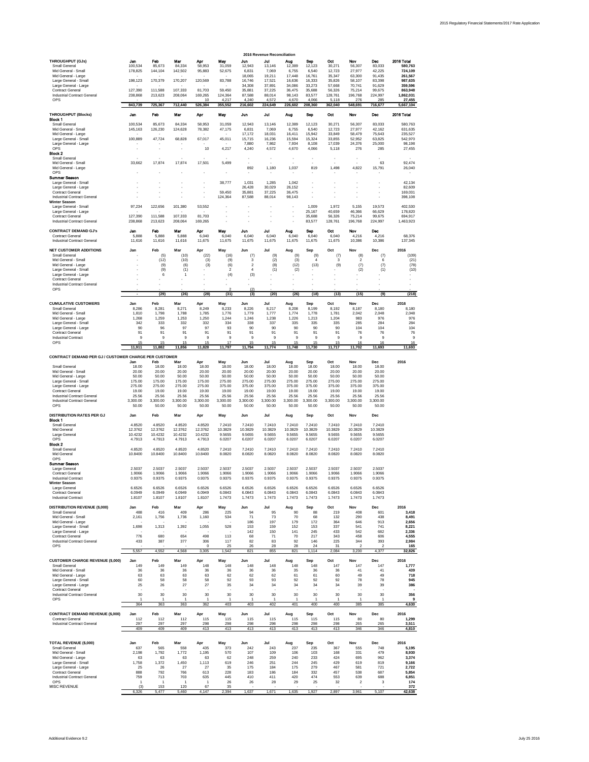Additional Evidence 9.2 July 25 2016



|                                                                                                                                                                                                                                                                                                           |                                                                                           |                                                                                                                            |                                                                                                            |                                                                                                                        |                                                                                                |                                                                                              | 2016 Revenue Reconciliation                                                                  |                                                                                              |                                                                                                     |                                                                                                |                                                                                                  |                                                                                                     |                                                                                                                  |
|-----------------------------------------------------------------------------------------------------------------------------------------------------------------------------------------------------------------------------------------------------------------------------------------------------------|-------------------------------------------------------------------------------------------|----------------------------------------------------------------------------------------------------------------------------|------------------------------------------------------------------------------------------------------------|------------------------------------------------------------------------------------------------------------------------|------------------------------------------------------------------------------------------------|----------------------------------------------------------------------------------------------|----------------------------------------------------------------------------------------------|----------------------------------------------------------------------------------------------|-----------------------------------------------------------------------------------------------------|------------------------------------------------------------------------------------------------|--------------------------------------------------------------------------------------------------|-----------------------------------------------------------------------------------------------------|------------------------------------------------------------------------------------------------------------------|
| <b>THROUGHPUT (GJs)</b><br><b>Small General</b><br>Mid General - Small<br>Mid General - Large<br>Large General - Small<br>Large General - Large<br><b>Contract General</b><br><b>Industrial Contract General</b><br><b>OPS</b>                                                                            | Jan<br>100,534<br>178,825<br>$\sim$<br>198,123<br>$\sim$<br>127,390<br>238,868<br>843,739 | Feb<br>85,673<br>144,104<br>$\blacksquare$<br>170,379<br>$\blacksquare$<br>111,588<br>213,623<br>$\overline{a}$<br>725,367 | Mar<br>84,334<br>142,502<br>$\sim$<br>170,207<br>$\sim$<br>107,333<br>208,064<br>$\blacksquare$<br>712,440 | Apr<br>58,953<br>95,883<br>$\overline{\phantom{a}}$<br>120,569<br>$\blacksquare$<br>81,703<br>169,265<br>10<br>526,384 | May<br>31,059<br>52,675<br>$\sim$<br>83,788<br>$\sim$<br>59,450<br>124,364<br>4,217<br>355,552 | Jun<br>12,943<br>6,831<br>18,065<br>16,746<br>34,308<br>35,881<br>87,588<br>4,240<br>216,602 | Jul<br>13,146<br>7,069<br>19,211<br>17,521<br>37,891<br>37,225<br>88,014<br>4,572<br>224,649 | Aug<br>12,389<br>6,755<br>17,448<br>16,636<br>34,086<br>36,475<br>98,143<br>4,670<br>226,602 | <b>Sep</b><br>12,123<br>6,540<br>16,761<br>16,333<br>33,273<br>35,688<br>83,577<br>4,066<br>208,360 | Oct<br>30,271<br>12,723<br>35,347<br>35,826<br>57,668<br>56,326<br>128,761<br>5,118<br>362,040 | Nov<br>56,307<br>27,977<br>63,300<br>58,107<br>70,741<br>75,214<br>196,768<br>276<br>548,691     | <b>Dec</b><br>83,033<br>42,225<br>91,435<br>83,398<br>91,629<br>99,675<br>224,997<br>285<br>716,677 | 2016 Total<br>580,763<br>724,109<br>261,567<br>987,635<br>359,596<br>863,948<br>1,862,031<br>27,455<br>5,667,104 |
| <b>THROUGHPUT (Blocks)</b><br><b>Block 1</b><br><b>Small General</b><br>Mid General - Small<br>Mid General - Large<br>Large General - Small<br>Large General - Large<br><b>OPS</b><br><b>Block 2</b>                                                                                                      | Jan<br>100,534<br>145,163<br>$\sim$<br>100,889<br>$\sim$                                  | Feb<br>85,673<br>126,230<br>$\overline{\phantom{a}}$<br>47,724<br>$\overline{\phantom{a}}$<br>$\blacksquare$               | Mar<br>84,334<br>124,628<br>$\sim$<br>68,828<br>$\sim$<br>$\blacksquare$                                   | Apr<br>58,953<br>78,382<br>$\sim$<br>67,017<br>$\sim$<br>10                                                            | May<br>31,059<br>47,175<br>$\blacksquare$<br>45,011<br>$\sim$<br>4,217                         | Jun<br>12,943<br>6,831<br>17,172<br>15,715<br>7,880<br>4,240                                 | Jul<br>13,146<br>7,069<br>18,031<br>16,236<br>7,862<br>4,572                                 | Aug<br>12,389<br>6,755<br>16,411<br>15,594<br>7,934<br>4,670                                 | <b>Sep</b><br>12,123<br>6,540<br>15,942<br>15,324<br>8,108<br>4,066                                 | Oct<br>30,271<br>12,723<br>33,849<br>33,855<br>17,039<br>5,118                                 | Nov<br>56,307<br>27,977<br>58,479<br>52,952<br>24,376<br>276                                     | Dec<br>83,033<br>42,162<br>75,643<br>63,825<br>25,000<br>285                                        | 2016 Total<br>580,763<br>631,635<br>235,527<br>542,970<br>98,198<br>27,455                                       |
| <b>Small General</b><br>Mid General - Small<br>Mid General - Large<br><b>OPS</b><br><b>Summer Season</b>                                                                                                                                                                                                  | 33,662                                                                                    | 17,874                                                                                                                     | 17,874                                                                                                     | 17,501                                                                                                                 | $\blacksquare$<br>5,499                                                                        | 892                                                                                          | 1,180                                                                                        | 1,037                                                                                        | $\blacksquare$<br>819                                                                               | 1,498                                                                                          | 4,822                                                                                            | 63<br>15,791                                                                                        | 92,474<br>26,040                                                                                                 |
| Large General - Small<br>Large General - Large<br><b>Contract General</b><br><b>Industrial Contract General</b><br><b>Winter Season</b><br>Large General - Small                                                                                                                                          | 97,234                                                                                    | 122,656                                                                                                                    | 101,380                                                                                                    | $\overline{\phantom{a}}$<br>$\blacksquare$<br>53,552                                                                   | 38,777<br>59,450<br>124,364                                                                    | 1,031<br>26,428<br>35,881<br>87,588                                                          | 1,285<br>30,029<br>37,225<br>88,014                                                          | 1,042<br>26,152<br>36,475<br>98,143                                                          | $\blacksquare$<br>$\blacksquare$<br>1,009                                                           | 1,972                                                                                          | 5,155                                                                                            | 19,573                                                                                              | 42,134<br>82,609<br>169,031<br>398,108<br>402,530                                                                |
| Large General - Large<br><b>Contract General</b><br><b>Industrial Contract General</b>                                                                                                                                                                                                                    | $\sim$<br>127,390<br>238,868                                                              | $\overline{\phantom{a}}$<br>111,588<br>213,623                                                                             | ٠.<br>107,333<br>208,064                                                                                   | $\sim$<br>81,703<br>169,265                                                                                            |                                                                                                |                                                                                              |                                                                                              | $\overline{\phantom{a}}$                                                                     | 25,167<br>35,688<br>83,577                                                                          | 40,659<br>56,326<br>128,761                                                                    | 46,366<br>75,214<br>196,768                                                                      | 66,629<br>99,675<br>224,997                                                                         | 178,820<br>694,917<br>1,463,923                                                                                  |
| <b>CONTRACT DEMAND GJ's</b><br><b>Contract General</b><br><b>Industrial Contract General</b>                                                                                                                                                                                                              | Jan<br>5,888<br>11,616                                                                    | Feb<br>5,888<br>11,616                                                                                                     | Mar<br>5,888<br>11,616                                                                                     | Apr<br>6,040<br>11,675                                                                                                 | May<br>6,040<br>11,675                                                                         | Jun<br>6,040<br>11,675                                                                       | Jul<br>6,040<br>11,675                                                                       | Aug<br>6,040<br>11,675                                                                       | <b>Sep</b><br>6,040<br>11,675                                                                       | Oct<br>6,040<br>11,675                                                                         | Nov<br>4,216<br>10,386                                                                           | <b>Dec</b><br>4,216<br>10,386                                                                       | 68,376<br>137,345                                                                                                |
| <b>NET CUSTOMER ADDITIONS</b><br><b>Small General</b><br>Mid General - Small<br>Mid General - Large<br>Large General - Small<br>Large General - Large<br><b>Contract General</b><br><b>Industrial Contract General</b>                                                                                    | Jan                                                                                       | Feb<br>(5)<br>(12)<br>(9)<br>(9)<br>6                                                                                      | Mar<br>(10)<br>(10)<br>(6)<br>(1)<br>$\overline{1}$                                                        | Apr<br>(22)<br>(3)<br>(3)                                                                                              | May<br>(16)<br>(9)<br>(6)<br>$\overline{2}$<br>(4)                                             | Jun<br>(7)<br>3<br>$\overline{2}$<br>4<br>(3)                                                | Jul<br>(9)<br>(2)<br>(8)<br>(1)                                                              | Aug<br>(9)<br>(3)<br>(12)<br>(2)                                                             | Sep<br>(9)<br>$\overline{4}$<br>(13)                                                                | Oct<br>(7)<br>3<br>(9)                                                                         | Nov<br>(8)<br>$\overline{2}$<br>(7)<br>(2)                                                       | <b>Dec</b><br>(7)<br>6<br>(7)<br>(1)                                                                | 2016<br>(109)<br>(21)<br>(78)<br>(10)                                                                            |
| <b>OPS</b>                                                                                                                                                                                                                                                                                                | $\blacksquare$<br>$\blacksquare$                                                          | $\blacksquare$<br>(29)                                                                                                     | ۰.<br>(26)                                                                                                 | $\overline{\phantom{a}}$<br>(28)                                                                                       | $\overline{c}$<br>(31)                                                                         | (2)<br>$\overline{(3)}$                                                                      | $\sim$<br>(20)                                                                               | $\overline{\phantom{a}}$<br>(26)                                                             | $\overline{\phantom{a}}$<br>(18)                                                                    | $\blacksquare$<br>(13)                                                                         | $\blacksquare$<br>(15)                                                                           | $\sim$<br>(9)                                                                                       | $\sim$<br>(218)                                                                                                  |
| <b>CUMULATIVE CUSTOMERS</b><br><b>Small General</b><br>Mid General - Small<br>Mid General - Large<br>Large General - Small<br>Large General - Large<br><b>Contract General</b><br><b>Industrial Contract</b>                                                                                              | Jan<br>8,286<br>1,810<br>1,268<br>342<br>90<br>91<br>9                                    | Feb<br>8,281<br>1,798<br>1,259<br>333<br>96<br>91<br>9                                                                     | Mar<br>8,271<br>1,788<br>1,253<br>332<br>97<br>91<br>9                                                     | Apr<br>8,249<br>1,785<br>1,250<br>332<br>97<br>91<br>9                                                                 | May<br>8,233<br>1,776<br>1,244<br>334<br>93<br>91<br>9                                         | Jun<br>8,226<br>1,779<br>1,246<br>338<br>90<br>91<br>9                                       | Jul<br>8,217<br>1,777<br>1,238<br>337<br>90<br>91<br>9                                       | Aug<br>8,208<br>1,774<br>1,226<br>335<br>90<br>91<br>$\boldsymbol{9}$                        | <b>Sep</b><br>8,199<br>1,778<br>1,213<br>335<br>90<br>91<br>9                                       | Oct<br>8,192<br>1,781<br>1,204<br>335<br>90<br>91<br>9                                         | <b>Nov</b><br>8,187<br>2,042<br>983<br>285<br>104<br>76<br>9                                     | <b>Dec</b><br>8,180<br>2,048<br>976<br>284<br>104<br>76<br>9                                        | 2016<br>8,180<br>2,048<br>976<br>284<br>104<br>76<br>9                                                           |
| <b>OPS</b>                                                                                                                                                                                                                                                                                                | 15<br>11,911                                                                              | 15<br>11,882                                                                                                               | 15<br>11,856                                                                                               | 15<br>11,828                                                                                                           | 17<br>11,797                                                                                   | 15<br>11,794                                                                                 | 15<br>11,774                                                                                 | 15<br>11,748                                                                                 | 15<br>11,730                                                                                        | 15<br>11,717                                                                                   | 16<br>11,702                                                                                     | 16<br>11,693                                                                                        | 16<br>11,693                                                                                                     |
| <b>CONTRACT DEMAND PER GJ / CUSTOMER CHARGE PER CUSTOMER</b><br><b>Small General</b><br>Mid General - Small<br>Mid General - Large<br>Large General - Small<br>Large General - Large<br><b>Contract General</b><br><b>Industrial Contract General</b><br><b>Industrial Contract General</b><br><b>OPS</b> | Jan<br>18.00<br>20.00<br>50.00<br>175.00<br>275.00<br>19.00<br>25.56<br>3,300.00<br>50.00 | Feb<br>18.00<br>20.00<br>50.00<br>175.00<br>275.00<br>19.00<br>25.56<br>3,300.00<br>50.00                                  | Mar<br>18.00<br>20.00<br>50.00<br>175.00<br>275.00<br>19.00<br>25.56<br>3,300.00<br>50.00                  | Apr<br>18.00<br>20.00<br>50.00<br>175.00<br>275.00<br>19.00<br>25.56<br>3,300.00<br>50.00                              | May<br>18.00<br>20.00<br>50.00<br>275.00<br>375.00<br>19.00<br>25.56<br>3,300.00<br>50.00      | Jun<br>18.00<br>20.00<br>50.00<br>275.00<br>375.00<br>19.00<br>25.56<br>3,300.00<br>50.00    | Jul<br>18.00<br>20.00<br>50.00<br>275.00<br>375.00<br>19.00<br>25.56<br>3,300.00<br>50.00    | Aug<br>18.00<br>20.00<br>50.00<br>275.00<br>375.00<br>19.00<br>25.56<br>3,300.00<br>50.00    | <b>Sep</b><br>18.00<br>20.00<br>50.00<br>275.00<br>375.00<br>19.00<br>25.56<br>3,300.00<br>50.00    | Oct<br>18.00<br>20.00<br>50.00<br>275.00<br>375.00<br>19.00<br>25.56<br>3,300.00<br>50.00      | <b>Nov</b><br>18.00<br>20.00<br>50.00<br>275.00<br>375.00<br>19.00<br>25.56<br>3,300.00<br>50.00 | <b>Dec</b><br>18.00<br>20.00<br>50.00<br>275.00<br>375.00<br>19.00<br>25.56<br>3,300.00<br>50.00    | 2016                                                                                                             |
| <b>DISTRIBUTION RATES PER GJ</b><br><b>Block 1</b><br><b>Small General</b><br>Mid General<br>Large General<br><b>OPS</b><br><b>Block 2</b><br><b>Small General</b><br>Mid General                                                                                                                         | Jan<br>4.8520<br>12.3762<br>10.4232<br>4.7913<br>4.8520<br>10.8400                        | Feb<br>4.8520<br>12.3762<br>10.4232<br>4.7913<br>4.8520<br>10.8400                                                         | Mar<br>4.8520<br>12.3762<br>10.4232<br>4.7913<br>4.8520<br>10.8400                                         | Apr<br>4.8520<br>12.3762<br>10.4232<br>4.7913<br>4.8520<br>10.8400                                                     | May<br>7.2410<br>10.3829<br>9.5655<br>6.0207<br>7.2410<br>8.0820                               | Jun<br>7.2410<br>10.3829<br>9.5655<br>6.0207<br>7.2410<br>8.0820                             | Jul<br>7.2410<br>10.3829<br>9.5655<br>6.0207<br>7.2410<br>8.0820                             | Aug<br>7.2410<br>10.3829<br>9.5655<br>6.0207<br>7.2410<br>8.0820                             | Sep<br>7.2410<br>10.3829<br>9.5655<br>6.0207<br>7.2410<br>8.0820                                    | Oct<br>7.2410<br>10.3829<br>9.5655<br>6.0207<br>7.2410<br>8.0820                               | <b>Nov</b><br>7.2410<br>10.3829<br>9.5655<br>6.0207<br>7.2410<br>8.0820                          | <b>Dec</b><br>7.2410<br>10.3829<br>9.5655<br>6.0207<br>7.2410<br>8.0820                             |                                                                                                                  |
| <b>OPS</b><br><b>Summer Season</b><br>Large General<br><b>Contract General</b><br><b>Industrial Contract</b><br><b>Winter Season</b><br>Large General<br><b>Contract General</b>                                                                                                                          | 2.5037<br>1.9066<br>0.9375<br>6.6526<br>6.0949                                            | 2.5037<br>1.9066<br>0.9375<br>6.6526<br>6.0949                                                                             | 2.5037<br>1.9066<br>0.9375<br>6.6526<br>6.0949                                                             | 2.5037<br>1.9066<br>0.9375<br>6.6526<br>6.0949                                                                         | 2.5037<br>1.9066<br>0.9375<br>6.6526<br>6.0843                                                 | 2.5037<br>1.9066<br>0.9375<br>6.6526<br>6.0843                                               | 2.5037<br>1.9066<br>0.9375<br>6.6526<br>6.0843                                               | 2.5037<br>1.9066<br>0.9375<br>6.6526<br>6.0843                                               | 2.5037<br>1.9066<br>0.9375<br>6.6526<br>6.0843                                                      | 2.5037<br>1.9066<br>0.9375<br>6.6526<br>6.0843                                                 | 2.5037<br>1.9066<br>0.9375<br>6.6526<br>6.0843                                                   | 2.5037<br>1.9066<br>0.9375<br>6.6526<br>6.0843                                                      |                                                                                                                  |
| <b>Industrial Contract</b><br><b>DISTRIBUTION REVENUE (\$,000)</b><br><b>Small General</b><br>Mid General - Small<br>Mid General - Large<br>Large General - Small                                                                                                                                         | 1.8107<br>Jan<br>488<br>2,161<br>1,698                                                    | 1.8107<br>Feb<br>416<br>1,756<br>1,313                                                                                     | 1.8107<br>Mar<br>409<br>1,736<br>1,392                                                                     | 1.8107<br>Apr<br>286<br>1,160<br>1,055                                                                                 | 1.7473<br><b>May</b><br>225<br>534<br>528                                                      | 1.7473<br>Jun<br>94<br>71<br>186<br>153                                                      | 1.7473<br>Jul<br>95<br>73<br>197<br>159                                                      | 1.7473<br>Aug<br>90<br>70<br>179<br>152                                                      | 1.7473<br><b>Sep</b><br>88<br>68<br>172<br>153                                                      | 1.7473<br>Oct<br>219<br>132<br>364<br>337                                                      | 1.7473<br><b>Nov</b><br>408<br>290<br>646<br>541                                                 | 1.7473<br><b>Dec</b><br>601<br>438<br>913<br>741                                                    | 2016<br>3,418<br>8,491<br>2,656<br>8,221                                                                         |
| Large General - Large<br><b>Contract General</b><br><b>Industrial Contract General</b><br><b>OPS</b>                                                                                                                                                                                                      | $\overline{\phantom{a}}$<br>776<br>433<br>5,557                                           | $\overline{\phantom{a}}$<br>680<br>387<br>4,552                                                                            | $\sim$<br>654<br>377<br>4,568                                                                              | $\overline{\phantom{a}}$<br>498<br>306<br>$\mathbf 0$<br>3,305                                                         | $\overline{\phantom{a}}$<br>113<br>117<br>25<br>1,542                                          | 142<br>68<br>82<br>26<br>821                                                                 | 150<br>71<br>83<br>28<br>855                                                                 | 141<br>70<br>92<br>28<br>821                                                                 | 245<br>217<br>146<br>24<br>1,114                                                                    | 433<br>343<br>225<br>31<br>2,084                                                               | 542<br>458<br>344<br>$\overline{2}$<br>3,230                                                     | 682<br>606<br>393<br>$\overline{2}$<br>4,377                                                        | 2,336<br>4,555<br>2,984<br>165<br>32,826                                                                         |
| <b>CUSTOMER CHARGE REVENUE (\$,000)</b><br><b>Small General</b><br>Mid General - Small<br>Mid General - Large<br>Large General - Small<br>Large General - Large<br><b>Contract General</b><br><b>Industrial Contract General</b><br><b>OPS</b>                                                            | Jan<br>149<br>36<br>63<br>60<br>25<br>30<br>364                                           | Feb<br>149<br>36<br>63<br>58<br>26<br>30<br>-1<br>363                                                                      | Mar<br>149<br>36<br>63<br>58<br>27<br>30<br>363                                                            | Apr<br>148<br>36<br>63<br>58<br>27<br>30<br>362                                                                        | May<br>148<br>36<br>62<br>92<br>35<br>30<br>$\overline{\mathbf{1}}$<br>403                     | Jun<br>148<br>36<br>62<br>93<br>34<br>30<br>403                                              | Jul<br>148<br>36<br>62<br>93<br>34<br>30<br>402                                              | Aug<br>148<br>35<br>61<br>92<br>34<br>30<br>$\overline{1}$<br>401                            | Sep<br>148<br>36<br>61<br>92<br>34<br>30<br>400                                                     | Oct<br>147<br>36<br>60<br>92<br>34<br>30<br>$\overline{\mathbf{1}}$<br>400                     | Nov<br>147<br>41<br>49<br>78<br>39<br>30<br>385                                                  | <b>Dec</b><br>147<br>41<br>49<br>78<br>39<br>30<br>385                                              | 2016<br>1,777<br>439<br>718<br>945<br>386<br>356<br>9<br>4,630                                                   |
| <b>CONTRACT DEMAND REVENUE (\$,000)</b><br><b>Contract General</b><br><b>Industrial Contract General</b>                                                                                                                                                                                                  | Jan<br>112<br>297<br>409                                                                  | Feb<br>112<br>297<br>409                                                                                                   | Mar<br>112<br>297<br>409                                                                                   | Apr<br>115<br>298<br>413                                                                                               | May<br>115<br>298<br>413                                                                       | Jun<br>115<br>298<br>413                                                                     | Jul<br>115<br>298<br>413                                                                     | Aug<br>115<br>298<br>413                                                                     | <b>Sep</b><br>115<br>298<br>413                                                                     | Oct<br>115<br>298<br>413                                                                       | <b>Nov</b><br>80<br>265<br>346                                                                   | <b>Dec</b><br>80<br>265<br>346                                                                      | 2016<br>1,299<br>3,511<br>4,810                                                                                  |
| <b>TOTAL REVENUE (\$,000)</b><br>Small General<br>Mid General - Small<br>Mid General - Large<br>Large General - Small<br>Large General - Large<br><b>Contract General</b><br><b>Industrial Contract General</b><br><b>OPS</b><br><b>MISC REVENUE</b>                                                      | Jan<br>637<br>2,198<br>63<br>1,758<br>25<br>888<br>759<br>-1<br>(3)                       | Feb<br>565<br>1,792<br>63<br>1,372<br>26<br>792<br>713<br>153                                                              | Mar<br>558<br>1,772<br>63<br>1,450<br>27<br>766<br>703<br>120                                              | Apr<br>435<br>1,195<br>63<br>1,113<br>27<br>613<br>635<br>67                                                           | May<br>373<br>570<br>62<br>619<br>35<br>228<br>445<br>26<br>35                                 | Jun<br>242<br>107<br>248<br>246<br>175<br>183<br>410<br>26                                   | Jul<br>243<br>109<br>259<br>251<br>184<br>186<br>411<br>28                                   | Aug<br>237<br>106<br>240<br>244<br>175<br>184<br>420<br>29<br>$\overline{\phantom{a}}$       | <b>Sep</b><br>235<br>103<br>233<br>245<br>279<br>332<br>474<br>25                                   | Oct<br>367<br>168<br>424<br>429<br>467<br>457<br>553<br>32                                     | <b>Nov</b><br>555<br>331<br>695<br>619<br>581<br>538<br>639<br>$\overline{2}$                    | <b>Dec</b><br>748<br>479<br>962<br>819<br>721<br>687<br>688<br>3                                    | 2016<br>5,195<br>8,930<br>3,374<br>9,166<br>2,722<br>5,854<br>6,851<br>174<br>372                                |
|                                                                                                                                                                                                                                                                                                           | 6,326                                                                                     | 5,477                                                                                                                      | 5,460                                                                                                      | 4,147                                                                                                                  | 2,394                                                                                          | 1,637                                                                                        | 1,671                                                                                        | 1,635                                                                                        | 1,927                                                                                               | 2,897                                                                                          | 3,961                                                                                            | 5,107                                                                                               | 42,638                                                                                                           |

| ----- | ------- | --------- | ------ | . | . | . | . | . | - - - - | ----- | ------ | -------- |
|-------|---------|-----------|--------|---|---|---|---|---|---------|-------|--------|----------|
|       |         |           |        |   |   |   |   |   |         |       |        |          |